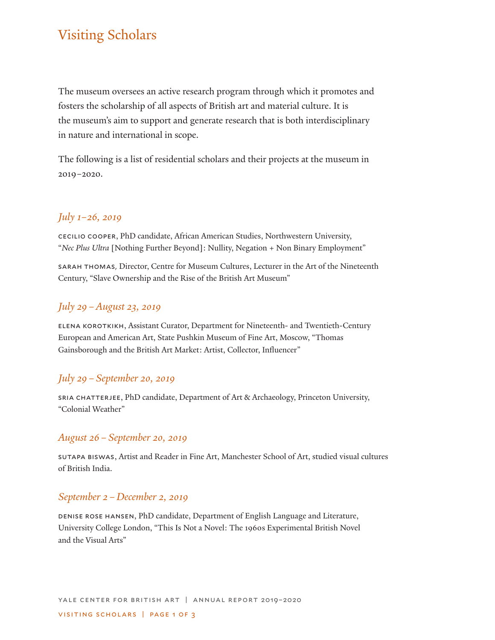# Visiting Scholars

The museum oversees an active research program through which it promotes and fosters the scholarship of all aspects of British art and material culture. It is the museum's aim to support and generate research that is both interdisciplinary in nature and international in scope.

The following is a list of residential scholars and their projects at the museum in 2019–2020.

# *July 1–26, 2019*

cecilio cooper, PhD candidate, African American Studies, Northwestern University, "*Nec Plus Ultra* [Nothing Further Beyond]: Nullity, Negation + Non Binary Employment"

sarah thomas, Director, Centre for Museum Cultures, Lecturer in the Art of the Nineteenth Century, "Slave Ownership and the Rise of the British Art Museum"

# *July 29–August 23, 2019*

elena korotkikh, Assistant Curator, Department for Nineteenth- and Twentieth-Century European and American Art, State Pushkin Museum of Fine Art, Moscow, "Thomas Gainsborough and the British Art Market: Artist, Collector, Influencer"

## *July 29–September 20, 2019*

sria chatterjee, PhD candidate, Department of Art & Archaeology, Princeton University, "Colonial Weather"

## *August 26–September 20, 2019*

sutapa biswas, Artist and Reader in Fine Art, Manchester School of Art, studied visual cultures of British India.

#### *September 2–December 2, 2019*

denise rose hansen, PhD candidate, Department of English Language and Literature, University College London, "This Is Not a Novel: The 1960s Experimental British Novel and the Visual Arts"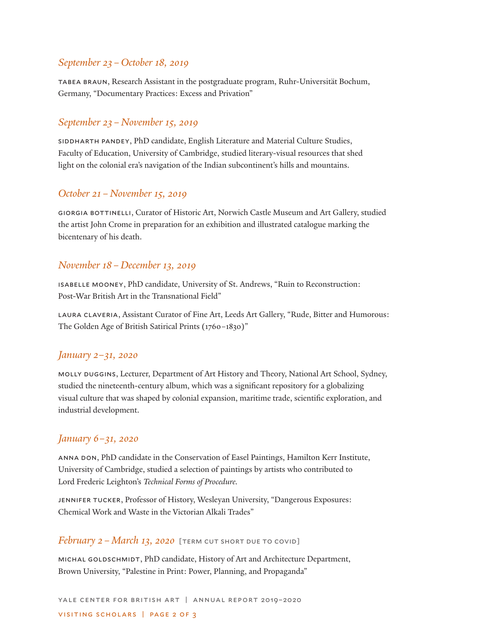## *September 23–October 18, 2019*

tabea braun, Research Assistant in the postgraduate program, Ruhr-Universität Bochum, Germany, "Documentary Practices: Excess and Privation"

#### *September 23–November 15, 2019*

siddharth pandey, PhD candidate, English Literature and Material Culture Studies, Faculty of Education, University of Cambridge, studied literary-visual resources that shed light on the colonial era's navigation of the Indian subcontinent's hills and mountains.

## *October 21–November 15, 2019*

giorgia bottinelli, Curator of Historic Art, Norwich Castle Museum and Art Gallery, studied the artist John Crome in preparation for an exhibition and illustrated catalogue marking the bicentenary of his death.

#### *November 18–December 13, 2019*

isabelle mooney, PhD candidate, University of St. Andrews, "Ruin to Reconstruction: Post-War British Art in the Transnational Field"

laura claveria, Assistant Curator of Fine Art, Leeds Art Gallery, "Rude, Bitter and Humorous: The Golden Age of British Satirical Prints (1760–1830)"

#### *January 2–31, 2020*

molly duggins, Lecturer, Department of Art History and Theory, National Art School, Sydney, studied the nineteenth-century album, which was a significant repository for a globalizing visual culture that was shaped by colonial expansion, maritime trade, scientific exploration, and industrial development.

#### *January 6–31, 2020*

anna don, PhD candidate in the Conservation of Easel Paintings, Hamilton Kerr Institute, University of Cambridge, studied a selection of paintings by artists who contributed to Lord Frederic Leighton's *Technical Forms of Procedure.*

JENNIFER TUCKER, Professor of History, Wesleyan University, "Dangerous Exposures: Chemical Work and Waste in the Victorian Alkali Trades"

#### *February 2 – March 13, 2020* [TERM CUT SHORT DUE TO COVID]

michal goldschmidt, PhD candidate, History of Art and Architecture Department, Brown University, "Palestine in Print: Power, Planning, and Propaganda"